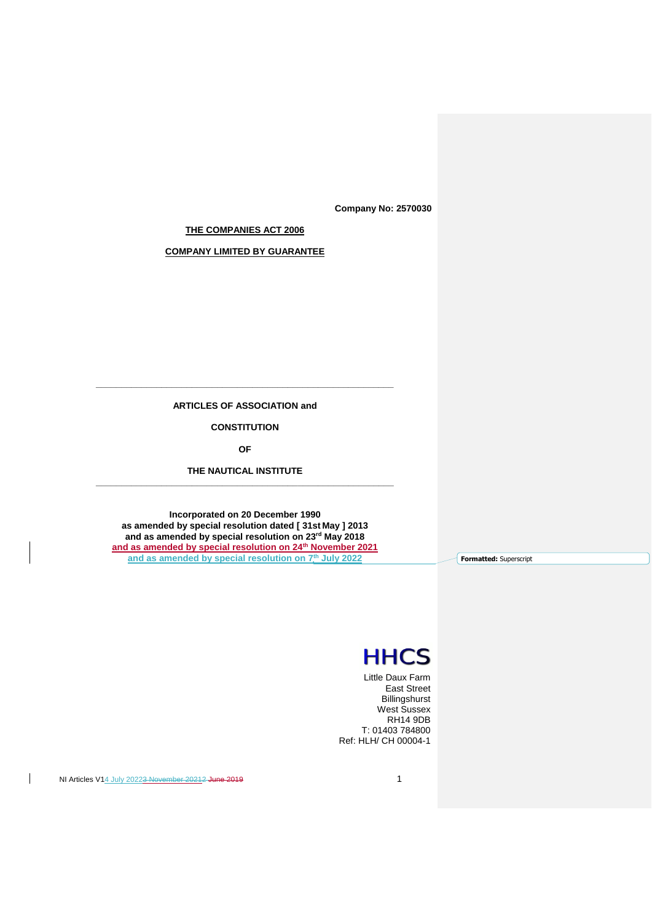**Company No: 2570030**

**THE COMPANIES ACT 2006**

**COMPANY LIMITED BY GUARANTEE**

**\_\_\_\_\_\_\_\_\_\_\_\_\_\_\_\_\_\_\_\_\_\_\_\_\_\_\_\_\_\_\_\_\_\_\_\_\_\_\_\_\_\_\_\_\_\_\_\_\_\_\_\_\_\_\_\_\_\_\_ ARTICLES OF ASSOCIATION and**

**CONSTITUTION**

**OF**

**THE NAUTICAL INSTITUTE \_\_\_\_\_\_\_\_\_\_\_\_\_\_\_\_\_\_\_\_\_\_\_\_\_\_\_\_\_\_\_\_\_\_\_\_\_\_\_\_\_\_\_\_\_\_\_\_\_\_\_\_\_\_\_\_\_\_\_**

**Incorporated on 20 December 1990 as amended by special resolution dated [ 31st May ] 2013 and as amended by special resolution on 23rd May 2018 and as amended by special resolution on 24th November 2021 and as amended by special resolution on 7th July 2022**

**Formatted:** Superscript

# **HHCS**

Little Daux Farm East Street Billingshurst West Sussex RH14 9DB T: 01403 784800 Ref: HLH/ CH 00004-1

NI Articles V14 July 20223 November 20212 June 2019

 $\overline{1}$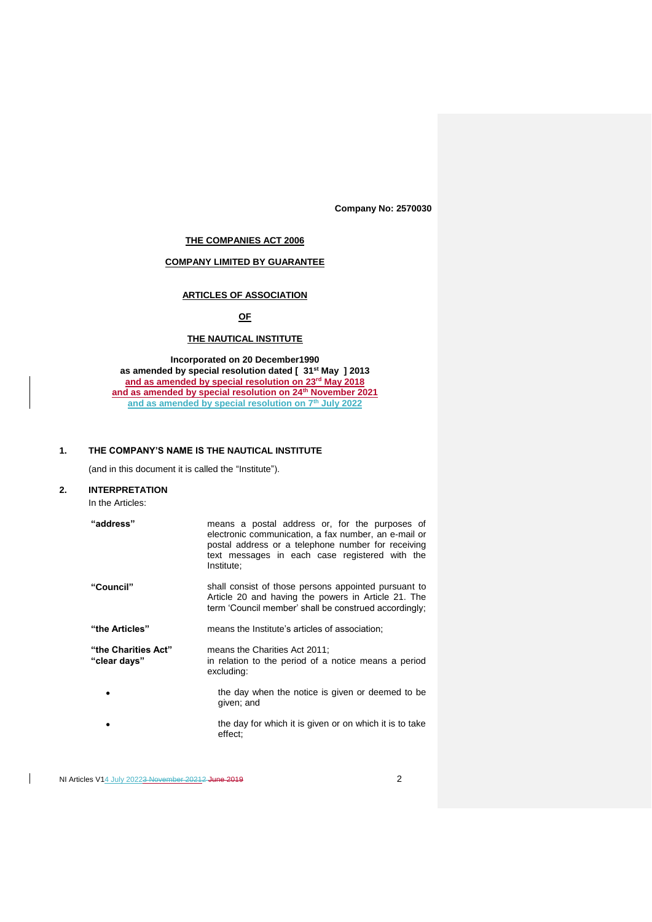**Company No: 2570030**

# **THE COMPANIES ACT 2006**

# **COMPANY LIMITED BY GUARANTEE**

# **ARTICLES OF ASSOCIATION**

# **OF**

# **THE NAUTICAL INSTITUTE**

**Incorporated on 20 December1990 as amended by special resolution dated [ 31st May ] 2013 and as amended by special resolution on 23rd May 2018 and as amended by special resolution on 24th November 2021 and as amended by special resolution on 7th July 2022**

# **1. THE COMPANY'S NAME IS THE NAUTICAL INSTITUTE**

(and in this document it is called the "Institute").

# **2. INTERPRETATION**

In the Articles:

| "address"                           | means a postal address or, for the purposes of<br>electronic communication, a fax number, an e-mail or<br>postal address or a telephone number for receiving<br>text messages in each case registered with the<br>Institute: |
|-------------------------------------|------------------------------------------------------------------------------------------------------------------------------------------------------------------------------------------------------------------------------|
| "Council"                           | shall consist of those persons appointed pursuant to<br>Article 20 and having the powers in Article 21. The<br>term 'Council member' shall be construed accordingly;                                                         |
| "the Articles"                      | means the Institute's articles of association;                                                                                                                                                                               |
| "the Charities Act"<br>"clear davs" | means the Charities Act 2011:<br>in relation to the period of a notice means a period<br>excluding:                                                                                                                          |
|                                     | the day when the notice is given or deemed to be<br>qiven; and                                                                                                                                                               |
|                                     | the day for which it is given or on which it is to take<br>effect;                                                                                                                                                           |

 $\overline{1}$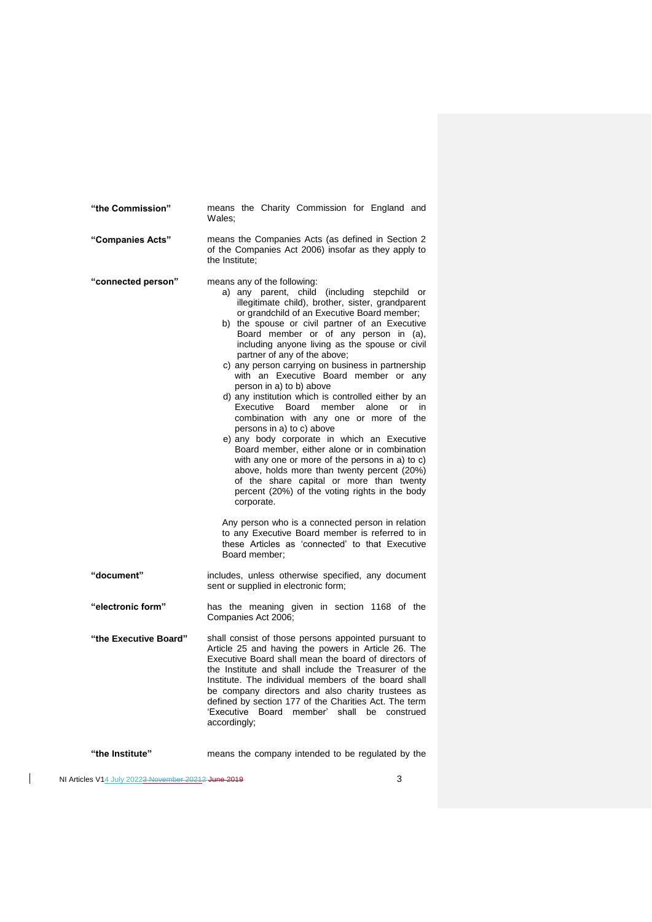| "the Commission"      | means the Charity Commission for England and<br>Wales:                                                                                                                                                                                                                                                                                                                                                                                                                                                                                                                                                                                                                                                                                                                                                                                                                                                                                                                                                                                                                                                                                                             |
|-----------------------|--------------------------------------------------------------------------------------------------------------------------------------------------------------------------------------------------------------------------------------------------------------------------------------------------------------------------------------------------------------------------------------------------------------------------------------------------------------------------------------------------------------------------------------------------------------------------------------------------------------------------------------------------------------------------------------------------------------------------------------------------------------------------------------------------------------------------------------------------------------------------------------------------------------------------------------------------------------------------------------------------------------------------------------------------------------------------------------------------------------------------------------------------------------------|
| "Companies Acts"      | means the Companies Acts (as defined in Section 2<br>of the Companies Act 2006) insofar as they apply to<br>the Institute:                                                                                                                                                                                                                                                                                                                                                                                                                                                                                                                                                                                                                                                                                                                                                                                                                                                                                                                                                                                                                                         |
| "connected person"    | means any of the following:<br>a) any parent, child (including stepchild or<br>illegitimate child), brother, sister, grandparent<br>or grandchild of an Executive Board member;<br>b) the spouse or civil partner of an Executive<br>Board member or of any person in (a),<br>including anyone living as the spouse or civil<br>partner of any of the above;<br>c) any person carrying on business in partnership<br>with an Executive Board member or any<br>person in a) to b) above<br>d) any institution which is controlled either by an<br>Executive<br>Board<br>member<br>alone<br>or<br>in<br>combination with any one or more of the<br>persons in a) to c) above<br>e) any body corporate in which an Executive<br>Board member, either alone or in combination<br>with any one or more of the persons in a) to c)<br>above, holds more than twenty percent (20%)<br>of the share capital or more than twenty<br>percent (20%) of the voting rights in the body<br>corporate.<br>Any person who is a connected person in relation<br>to any Executive Board member is referred to in<br>these Articles as 'connected' to that Executive<br>Board member; |
| "document"            | includes, unless otherwise specified, any document<br>sent or supplied in electronic form;                                                                                                                                                                                                                                                                                                                                                                                                                                                                                                                                                                                                                                                                                                                                                                                                                                                                                                                                                                                                                                                                         |
| "electronic form"     | has the meaning given in section 1168 of the<br>Companies Act 2006;                                                                                                                                                                                                                                                                                                                                                                                                                                                                                                                                                                                                                                                                                                                                                                                                                                                                                                                                                                                                                                                                                                |
| "the Executive Board" | shall consist of those persons appointed pursuant to<br>Article 25 and having the powers in Article 26. The<br>Executive Board shall mean the board of directors of<br>the Institute and shall include the Treasurer of the<br>Institute. The individual members of the board shall<br>be company directors and also charity trustees as<br>defined by section 177 of the Charities Act. The term<br>'Executive Board member'<br>shall<br>be construed<br>accordingly;                                                                                                                                                                                                                                                                                                                                                                                                                                                                                                                                                                                                                                                                                             |
| "the Institute"       | means the company intended to be regulated by the                                                                                                                                                                                                                                                                                                                                                                                                                                                                                                                                                                                                                                                                                                                                                                                                                                                                                                                                                                                                                                                                                                                  |

 $\begin{array}{c} \hline \end{array}$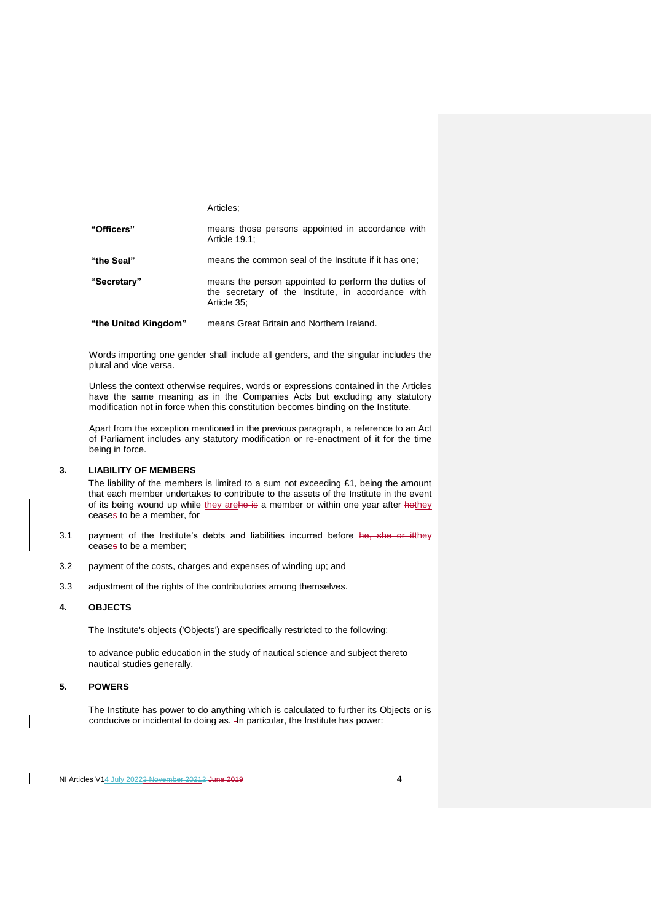|             | Articles:                                                                                                                |
|-------------|--------------------------------------------------------------------------------------------------------------------------|
| "Officers"  | means those persons appointed in accordance with<br>Article 19.1:                                                        |
| "the Seal"  | means the common seal of the Institute if it has one:                                                                    |
| "Secretary" | means the person appointed to perform the duties of<br>the secretary of the Institute, in accordance with<br>Article 35: |

**"the United Kingdom"** means Great Britain and Northern Ireland.

Words importing one gender shall include all genders, and the singular includes the plural and vice versa.

Unless the context otherwise requires, words or expressions contained in the Articles have the same meaning as in the Companies Acts but excluding any statutory modification not in force when this constitution becomes binding on the Institute.

Apart from the exception mentioned in the previous paragraph, a reference to an Act of Parliament includes any statutory modification or re-enactment of it for the time being in force.

## **3. LIABILITY OF MEMBERS**

The liability of the members is limited to a sum not exceeding £1, being the amount that each member undertakes to contribute to the assets of the Institute in the event of its being wound up while they arehe is a member or within one year after hethey ceases to be a member, for

- 3.1 payment of the Institute's debts and liabilities incurred before he, she or itthey ceases to be a member;
- 3.2 payment of the costs, charges and expenses of winding up; and
- 3.3 adjustment of the rights of the contributories among themselves.

# **4. OBJECTS**

The Institute's objects ('Objects') are specifically restricted to the following:

to advance public education in the study of nautical science and subject thereto nautical studies generally.

#### **5. POWERS**

 $\overline{\phantom{a}}$ 

The Institute has power to do anything which is calculated to further its Objects or is conducive or incidental to doing as. In particular, the Institute has power: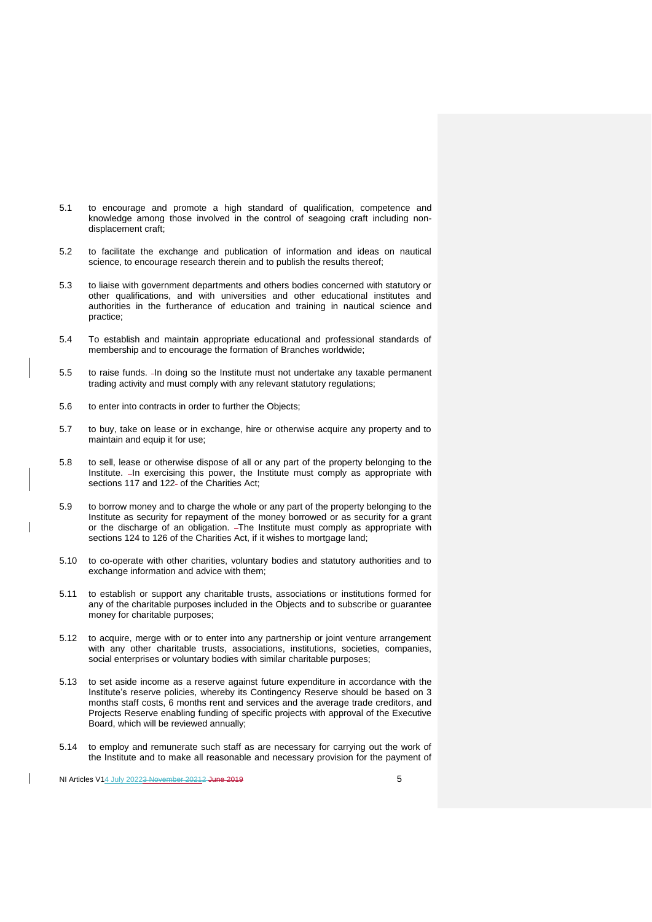- 5.1 to encourage and promote a high standard of qualification, competence and knowledge among those involved in the control of seagoing craft including nondisplacement craft;
- 5.2 to facilitate the exchange and publication of information and ideas on nautical science, to encourage research therein and to publish the results thereof:
- 5.3 to liaise with government departments and others bodies concerned with statutory or other qualifications, and with universities and other educational institutes and authorities in the furtherance of education and training in nautical science and practice;
- 5.4 To establish and maintain appropriate educational and professional standards of membership and to encourage the formation of Branches worldwide;
- 5.5 to raise funds. In doing so the Institute must not undertake any taxable permanent trading activity and must comply with any relevant statutory regulations;
- 5.6 to enter into contracts in order to further the Objects;
- 5.7 to buy, take on lease or in exchange, hire or otherwise acquire any property and to maintain and equip it for use:
- 5.8 to sell, lease or otherwise dispose of all or any part of the property belonging to the Institute. In exercising this power, the Institute must comply as appropriate with sections 117 and 122- of the Charities Act;
- 5.9 to borrow money and to charge the whole or any part of the property belonging to the Institute as security for repayment of the money borrowed or as security for a grant or the discharge of an obligation. - The Institute must comply as appropriate with sections 124 to 126 of the Charities Act, if it wishes to mortgage land;
- 5.10 to co-operate with other charities, voluntary bodies and statutory authorities and to exchange information and advice with them;
- 5.11 to establish or support any charitable trusts, associations or institutions formed for any of the charitable purposes included in the Objects and to subscribe or guarantee money for charitable purposes;
- 5.12 to acquire, merge with or to enter into any partnership or joint venture arrangement with any other charitable trusts, associations, institutions, societies, companies, social enterprises or voluntary bodies with similar charitable purposes;
- 5.13 to set aside income as a reserve against future expenditure in accordance with the Institute's reserve policies, whereby its Contingency Reserve should be based on 3 months staff costs, 6 months rent and services and the average trade creditors, and Projects Reserve enabling funding of specific projects with approval of the Executive Board, which will be reviewed annually;
- 5.14 to employ and remunerate such staff as are necessary for carrying out the work of the Institute and to make all reasonable and necessary provision for the payment of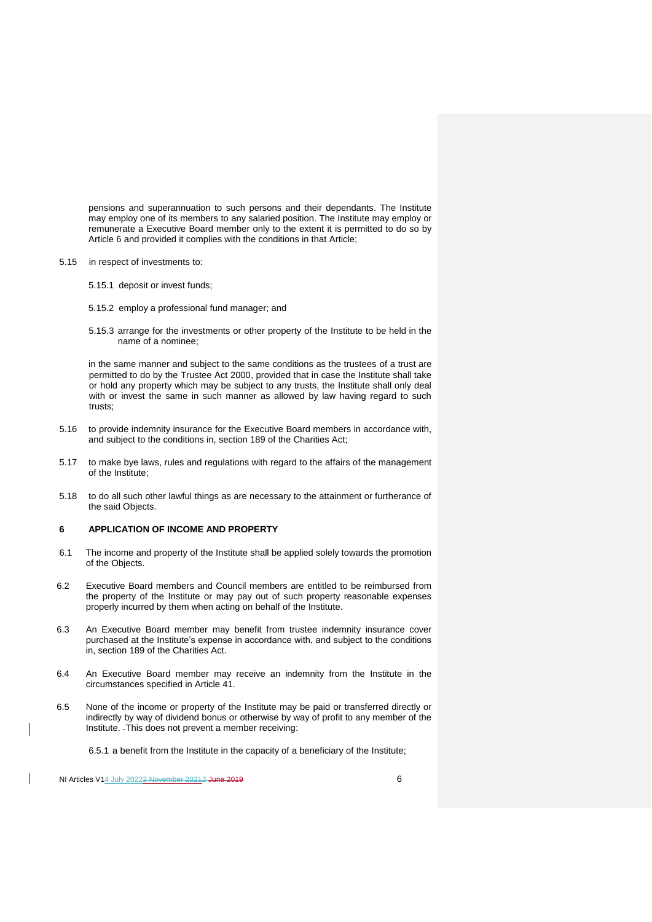pensions and superannuation to such persons and their dependants. The Institute may employ one of its members to any salaried position. The Institute may employ or remunerate a Executive Board member only to the extent it is permitted to do so by Article 6 and provided it complies with the conditions in that Article;

- 5.15 in respect of investments to:
	- 5.15.1 deposit or invest funds;
	- 5.15.2 employ a professional fund manager; and
	- 5.15.3 arrange for the investments or other property of the Institute to be held in the name of a nominee;

in the same manner and subject to the same conditions as the trustees of a trust are permitted to do by the Trustee Act 2000, provided that in case the Institute shall take or hold any property which may be subject to any trusts, the Institute shall only deal with or invest the same in such manner as allowed by law having regard to such trusts;

- 5.16 to provide indemnity insurance for the Executive Board members in accordance with, and subject to the conditions in, section 189 of the Charities Act;
- 5.17 to make bye laws, rules and regulations with regard to the affairs of the management of the Institute;
- 5.18 to do all such other lawful things as are necessary to the attainment or furtherance of the said Objects.

## **6 APPLICATION OF INCOME AND PROPERTY**

- 6.1 The income and property of the Institute shall be applied solely towards the promotion of the Objects.
- 6.2 Executive Board members and Council members are entitled to be reimbursed from the property of the Institute or may pay out of such property reasonable expenses properly incurred by them when acting on behalf of the Institute.
- 6.3 An Executive Board member may benefit from trustee indemnity insurance cover purchased at the Institute's expense in accordance with, and subject to the conditions in, section 189 of the Charities Act.
- 6.4 An Executive Board member may receive an indemnity from the Institute in the circumstances specified in Article 41.
- 6.5 None of the income or property of the Institute may be paid or transferred directly or indirectly by way of dividend bonus or otherwise by way of profit to any member of the Institute. This does not prevent a member receiving:
	- 6.5.1 a benefit from the Institute in the capacity of a beneficiary of the Institute;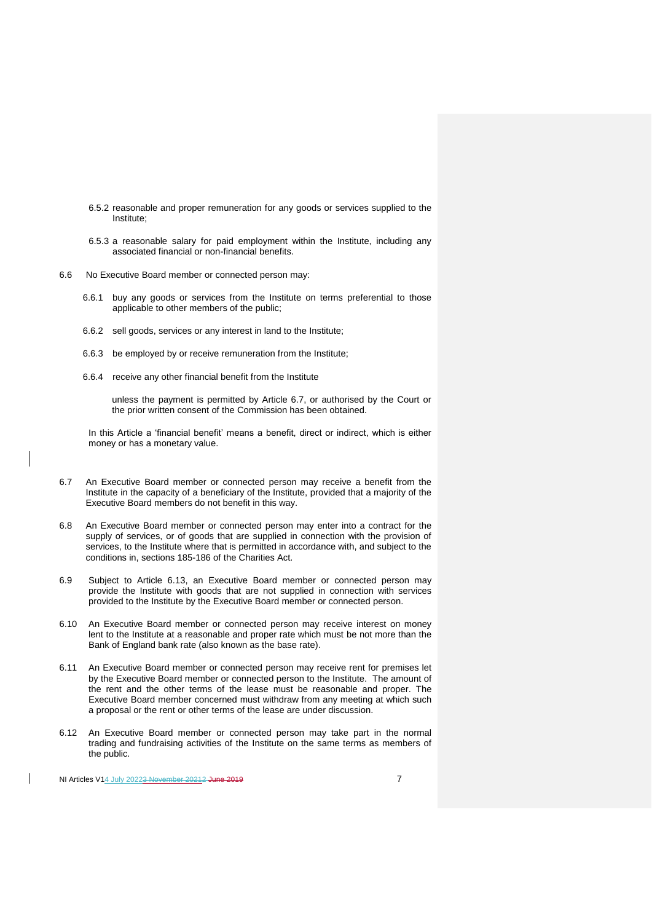- 6.5.2 reasonable and proper remuneration for any goods or services supplied to the Institute;
- 6.5.3 a reasonable salary for paid employment within the Institute, including any associated financial or non-financial benefits.
- 6.6 No Executive Board member or connected person may:
	- 6.6.1 buy any goods or services from the Institute on terms preferential to those applicable to other members of the public;
	- 6.6.2 sell goods, services or any interest in land to the Institute;
	- 6.6.3 be employed by or receive remuneration from the Institute;
	- 6.6.4 receive any other financial benefit from the Institute

unless the payment is permitted by Article 6.7, or authorised by the Court or the prior written consent of the Commission has been obtained.

In this Article a 'financial benefit' means a benefit, direct or indirect, which is either money or has a monetary value.

- 6.7 An Executive Board member or connected person may receive a benefit from the Institute in the capacity of a beneficiary of the Institute, provided that a majority of the Executive Board members do not benefit in this way.
- 6.8 An Executive Board member or connected person may enter into a contract for the supply of services, or of goods that are supplied in connection with the provision of services, to the Institute where that is permitted in accordance with, and subject to the conditions in, sections 185-186 of the Charities Act.
- 6.9 Subject to Article 6.13, an Executive Board member or connected person may provide the Institute with goods that are not supplied in connection with services provided to the Institute by the Executive Board member or connected person.
- 6.10 An Executive Board member or connected person may receive interest on money lent to the Institute at a reasonable and proper rate which must be not more than the Bank of England bank rate (also known as the base rate).
- 6.11 An Executive Board member or connected person may receive rent for premises let by the Executive Board member or connected person to the Institute. The amount of the rent and the other terms of the lease must be reasonable and proper. The Executive Board member concerned must withdraw from any meeting at which such a proposal or the rent or other terms of the lease are under discussion.
- 6.12 An Executive Board member or connected person may take part in the normal trading and fundraising activities of the Institute on the same terms as members of the public.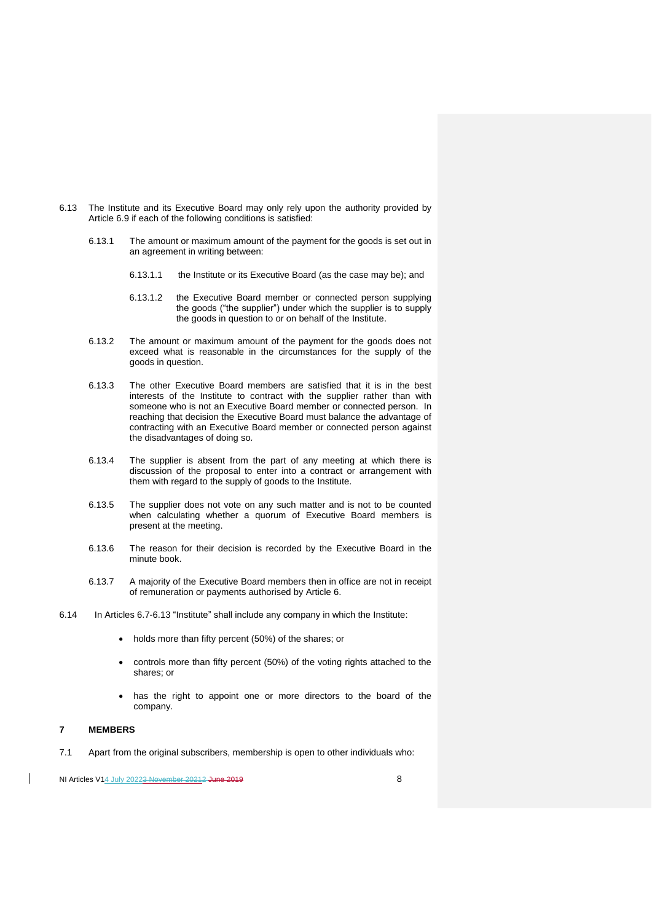- 6.13 The Institute and its Executive Board may only rely upon the authority provided by Article 6.9 if each of the following conditions is satisfied:
	- 6.13.1 The amount or maximum amount of the payment for the goods is set out in an agreement in writing between:
		- 6.13.1.1 the Institute or its Executive Board (as the case may be); and
		- 6.13.1.2 the Executive Board member or connected person supplying the goods ("the supplier") under which the supplier is to supply the goods in question to or on behalf of the Institute.
	- 6.13.2 The amount or maximum amount of the payment for the goods does not exceed what is reasonable in the circumstances for the supply of the goods in question.
	- 6.13.3 The other Executive Board members are satisfied that it is in the best interests of the Institute to contract with the supplier rather than with someone who is not an Executive Board member or connected person. In reaching that decision the Executive Board must balance the advantage of contracting with an Executive Board member or connected person against the disadvantages of doing so*.*
	- 6.13.4 The supplier is absent from the part of any meeting at which there is discussion of the proposal to enter into a contract or arrangement with them with regard to the supply of goods to the Institute.
	- 6.13.5 The supplier does not vote on any such matter and is not to be counted when calculating whether a quorum of Executive Board members is present at the meeting.
	- 6.13.6 The reason for their decision is recorded by the Executive Board in the minute book.
	- 6.13.7 A majority of the Executive Board members then in office are not in receipt of remuneration or payments authorised by Article 6.
- 6.14 In Articles 6.7-6.13 "Institute" shall include any company in which the Institute:
	- holds more than fifty percent (50%) of the shares; or
	- controls more than fifty percent (50%) of the voting rights attached to the shares; or
	- has the right to appoint one or more directors to the board of the company.

## **7 MEMBERS**

7.1 Apart from the original subscribers, membership is open to other individuals who: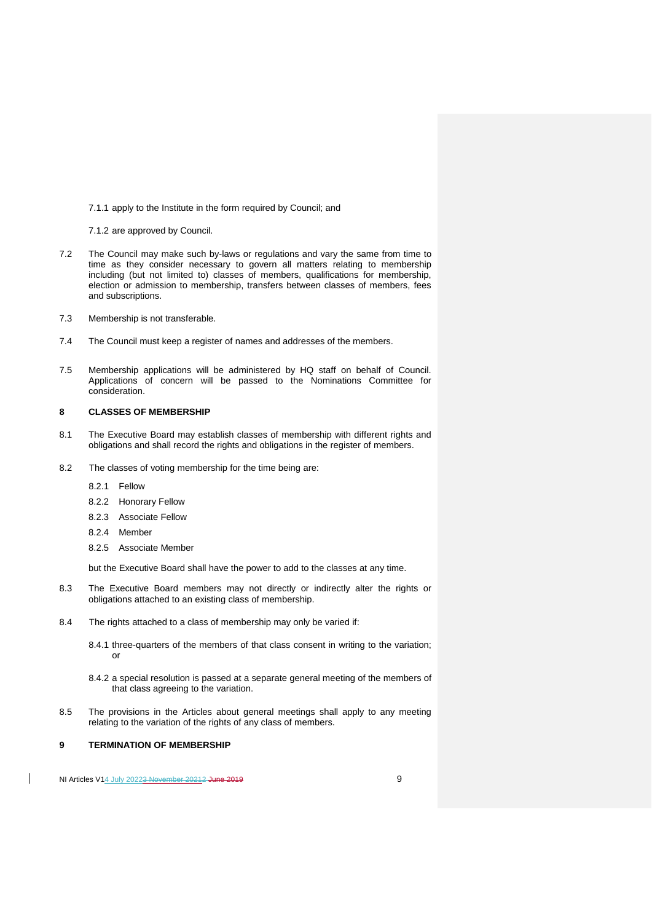7.1.1 apply to the Institute in the form required by Council; and

7.1.2 are approved by Council.

- 7.2 The Council may make such by-laws or regulations and vary the same from time to time as they consider necessary to govern all matters relating to membership including (but not limited to) classes of members, qualifications for membership, election or admission to membership, transfers between classes of members, fees and subscriptions.
- 7.3 Membership is not transferable.
- 7.4 The Council must keep a register of names and addresses of the members.
- 7.5 Membership applications will be administered by HQ staff on behalf of Council. Applications of concern will be passed to the Nominations Committee for consideration.

# **8 CLASSES OF MEMBERSHIP**

- 8.1 The Executive Board may establish classes of membership with different rights and obligations and shall record the rights and obligations in the register of members.
- 8.2 The classes of voting membership for the time being are:
	- 8.2.1 Fellow
	- 8.2.2 Honorary Fellow
	- 8.2.3 Associate Fellow
	- 8.2.4 Member
	- 8.2.5 Associate Member

but the Executive Board shall have the power to add to the classes at any time.

- 8.3 The Executive Board members may not directly or indirectly alter the rights or obligations attached to an existing class of membership.
- 8.4 The rights attached to a class of membership may only be varied if:
	- 8.4.1 three-quarters of the members of that class consent in writing to the variation; or
	- 8.4.2 a special resolution is passed at a separate general meeting of the members of that class agreeing to the variation.
- 8.5 The provisions in the Articles about general meetings shall apply to any meeting relating to the variation of the rights of any class of members.

#### **9 TERMINATION OF MEMBERSHIP**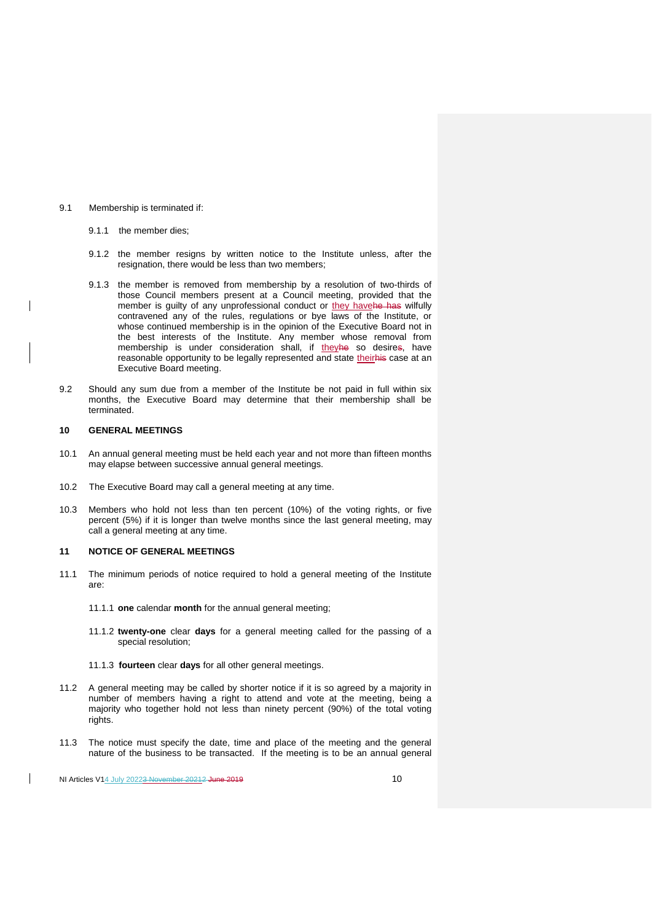## 9.1 Membership is terminated if:

- 9.1.1 the member dies;
- 9.1.2 the member resigns by written notice to the Institute unless, after the resignation, there would be less than two members;
- 9.1.3 the member is removed from membership by a resolution of two-thirds of those Council members present at a Council meeting, provided that the member is guilty of any unprofessional conduct or they havehe has wilfully contravened any of the rules, regulations or bye laws of the Institute, or whose continued membership is in the opinion of the Executive Board not in the best interests of the Institute. Any member whose removal from membership is under consideration shall, if theyhe so desires, have reasonable opportunity to be legally represented and state theirhis case at an Executive Board meeting.
- 9.2 Should any sum due from a member of the Institute be not paid in full within six months, the Executive Board may determine that their membership shall be terminated.

## **10 GENERAL MEETINGS**

 $\overline{\phantom{a}}$ 

- 10.1 An annual general meeting must be held each year and not more than fifteen months may elapse between successive annual general meetings.
- 10.2 The Executive Board may call a general meeting at any time.
- 10.3 Members who hold not less than ten percent (10%) of the voting rights, or five percent (5%) if it is longer than twelve months since the last general meeting, may call a general meeting at any time.

## **11 NOTICE OF GENERAL MEETINGS**

- 11.1 The minimum periods of notice required to hold a general meeting of the Institute are:
	- 11.1.1 **one** calendar **month** for the annual general meeting;
	- 11.1.2 **twenty-one** clear **days** for a general meeting called for the passing of a special resolution;
	- 11.1.3 **fourteen** clear **days** for all other general meetings.
- 11.2 A general meeting may be called by shorter notice if it is so agreed by a majority in number of members having a right to attend and vote at the meeting, being a majority who together hold not less than ninety percent (90%) of the total voting rights.
- 11.3 The notice must specify the date, time and place of the meeting and the general nature of the business to be transacted. If the meeting is to be an annual general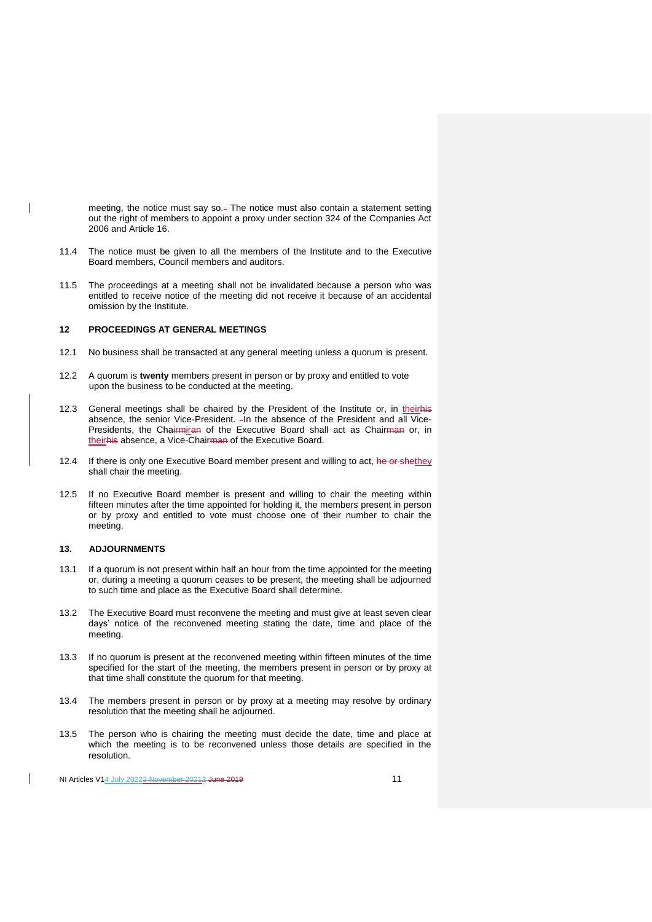meeting, the notice must say so.- The notice must also contain a statement setting out the right of members to appoint a proxy under section 324 of the Companies Act 2006 and Article 16.

- 11.4 The notice must be given to all the members of the Institute and to the Executive Board members, Council members and auditors.
- 11.5 The proceedings at a meeting shall not be invalidated because a person who was entitled to receive notice of the meeting did not receive it because of an accidental omission by the Institute.

## **12 PROCEEDINGS AT GENERAL MEETINGS**

- 12.1 No business shall be transacted at any general meeting unless a quorum is present.
- 12.2 A quorum is **twenty** members present in person or by proxy and entitled to vote upon the business to be conducted at the meeting.
- 12.3 General meetings shall be chaired by the President of the Institute or, in theirhis absence, the senior Vice-President. - In the absence of the President and all Vice-Presidents, the Chairmiran of the Executive Board shall act as Chairman or, in theirhis absence, a Vice-Chairman of the Executive Board.
- 12.4 If there is only one Executive Board member present and willing to act, he or shethey shall chair the meeting.
- 12.5 If no Executive Board member is present and willing to chair the meeting within fifteen minutes after the time appointed for holding it, the members present in person or by proxy and entitled to vote must choose one of their number to chair the meeting.

# **13. ADJOURNMENTS**

 $\overline{\phantom{a}}$ 

- 13.1 If a quorum is not present within half an hour from the time appointed for the meeting or, during a meeting a quorum ceases to be present, the meeting shall be adjourned to such time and place as the Executive Board shall determine.
- 13.2 The Executive Board must reconvene the meeting and must give at least seven clear days' notice of the reconvened meeting stating the date, time and place of the meeting.
- 13.3 If no quorum is present at the reconvened meeting within fifteen minutes of the time specified for the start of the meeting, the members present in person or by proxy at that time shall constitute the quorum for that meeting.
- 13.4 The members present in person or by proxy at a meeting may resolve by ordinary resolution that the meeting shall be adjourned.
- 13.5 The person who is chairing the meeting must decide the date, time and place at which the meeting is to be reconvened unless those details are specified in the resolution.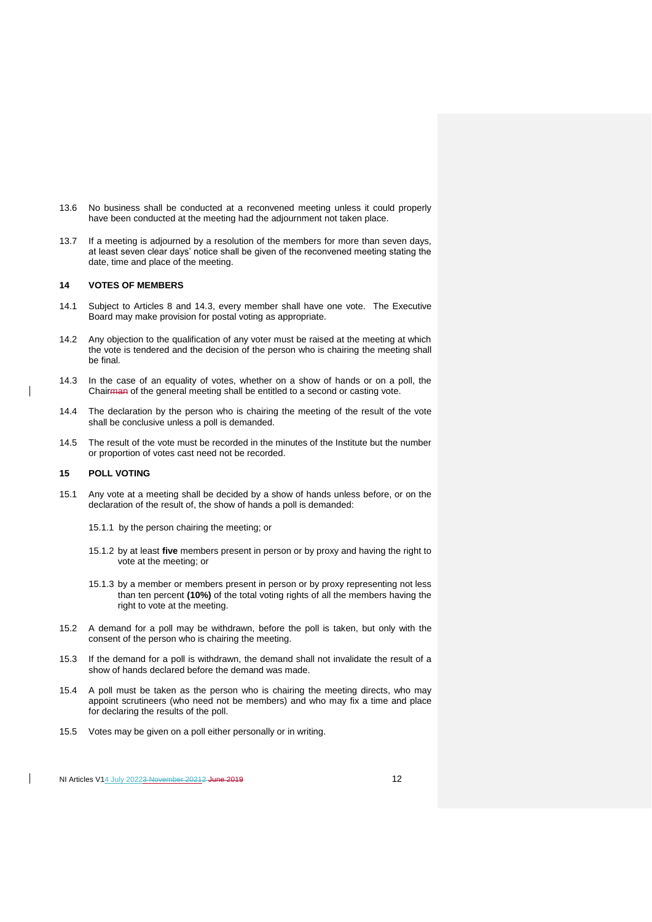- 13.6 No business shall be conducted at a reconvened meeting unless it could properly have been conducted at the meeting had the adjournment not taken place.
- 13.7 If a meeting is adjourned by a resolution of the members for more than seven days, at least seven clear days' notice shall be given of the reconvened meeting stating the date, time and place of the meeting.

## **14 VOTES OF MEMBERS**

- 14.1 Subject to Articles 8 and 14.3, every member shall have one vote. The Executive Board may make provision for postal voting as appropriate.
- 14.2 Any objection to the qualification of any voter must be raised at the meeting at which the vote is tendered and the decision of the person who is chairing the meeting shall be final.
- 14.3 In the case of an equality of votes, whether on a show of hands or on a poll, the Chairman of the general meeting shall be entitled to a second or casting vote.
- 14.4 The declaration by the person who is chairing the meeting of the result of the vote shall be conclusive unless a poll is demanded.
- 14.5 The result of the vote must be recorded in the minutes of the Institute but the number or proportion of votes cast need not be recorded.

# **15 POLL VOTING**

- 15.1 Any vote at a meeting shall be decided by a show of hands unless before, or on the declaration of the result of, the show of hands a poll is demanded:
	- 15.1.1 by the person chairing the meeting; or
	- 15.1.2 by at least **five** members present in person or by proxy and having the right to vote at the meeting; or
	- 15.1.3 by a member or members present in person or by proxy representing not less than ten percent **(10%)** of the total voting rights of all the members having the right to vote at the meeting.
- 15.2 A demand for a poll may be withdrawn, before the poll is taken, but only with the consent of the person who is chairing the meeting.
- 15.3 If the demand for a poll is withdrawn, the demand shall not invalidate the result of a show of hands declared before the demand was made.
- 15.4 A poll must be taken as the person who is chairing the meeting directs, who may appoint scrutineers (who need not be members) and who may fix a time and place for declaring the results of the poll.
- 15.5 Votes may be given on a poll either personally or in writing.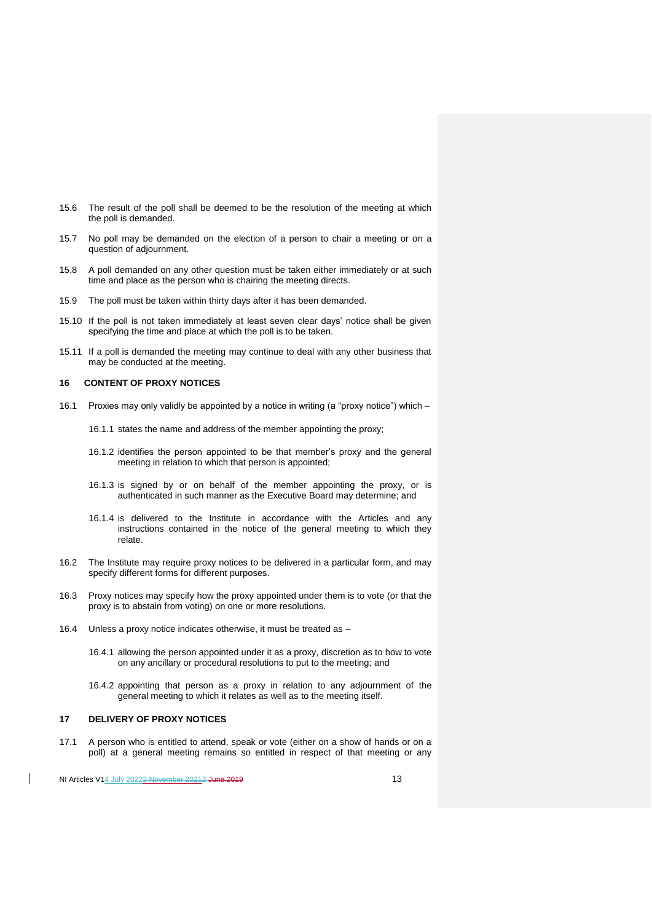- 15.6 The result of the poll shall be deemed to be the resolution of the meeting at which the poll is demanded.
- 15.7 No poll may be demanded on the election of a person to chair a meeting or on a question of adjournment.
- 15.8 A poll demanded on any other question must be taken either immediately or at such time and place as the person who is chairing the meeting directs.
- 15.9 The poll must be taken within thirty days after it has been demanded.
- 15.10 If the poll is not taken immediately at least seven clear days' notice shall be given specifying the time and place at which the poll is to be taken.
- 15.11 If a poll is demanded the meeting may continue to deal with any other business that may be conducted at the meeting.

#### **16 CONTENT OF PROXY NOTICES**

- 16.1 Proxies may only validly be appointed by a notice in writing (a "proxy notice") which
	- 16.1.1 states the name and address of the member appointing the proxy;
	- 16.1.2 identifies the person appointed to be that member's proxy and the general meeting in relation to which that person is appointed;
	- 16.1.3 is signed by or on behalf of the member appointing the proxy, or is authenticated in such manner as the Executive Board may determine; and
	- 16.1.4 is delivered to the Institute in accordance with the Articles and any instructions contained in the notice of the general meeting to which they relate.
- 16.2 The Institute may require proxy notices to be delivered in a particular form, and may specify different forms for different purposes.
- 16.3 Proxy notices may specify how the proxy appointed under them is to vote (or that the proxy is to abstain from voting) on one or more resolutions.
- 16.4 Unless a proxy notice indicates otherwise, it must be treated as
	- 16.4.1 allowing the person appointed under it as a proxy, discretion as to how to vote on any ancillary or procedural resolutions to put to the meeting; and
	- 16.4.2 appointing that person as a proxy in relation to any adjournment of the general meeting to which it relates as well as to the meeting itself.

# **17 DELIVERY OF PROXY NOTICES**

17.1 A person who is entitled to attend, speak or vote (either on a show of hands or on a poll) at a general meeting remains so entitled in respect of that meeting or any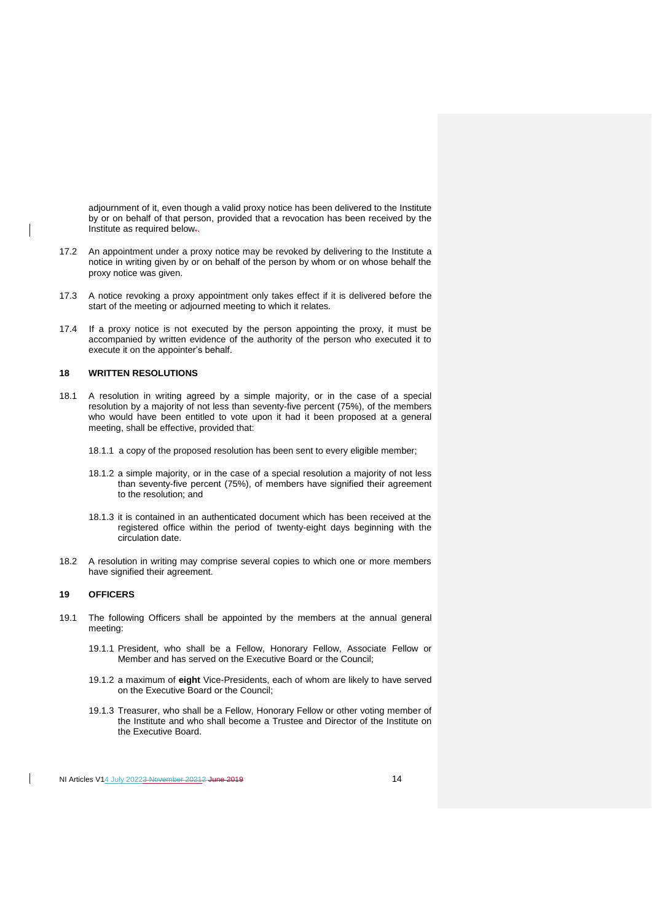adjournment of it, even though a valid proxy notice has been delivered to the Institute by or on behalf of that person, provided that a revocation has been received by the Institute as required below..

- 17.2 An appointment under a proxy notice may be revoked by delivering to the Institute a notice in writing given by or on behalf of the person by whom or on whose behalf the proxy notice was given.
- 17.3 A notice revoking a proxy appointment only takes effect if it is delivered before the start of the meeting or adjourned meeting to which it relates.
- 17.4 If a proxy notice is not executed by the person appointing the proxy, it must be accompanied by written evidence of the authority of the person who executed it to execute it on the appointer's behalf.

## **18 WRITTEN RESOLUTIONS**

- 18.1 A resolution in writing agreed by a simple majority, or in the case of a special resolution by a majority of not less than seventy-five percent (75%), of the members who would have been entitled to vote upon it had it been proposed at a general meeting, shall be effective, provided that:
	- 18.1.1 a copy of the proposed resolution has been sent to every eligible member;
	- 18.1.2 a simple majority, or in the case of a special resolution a majority of not less than seventy-five percent (75%), of members have signified their agreement to the resolution; and
	- 18.1.3 it is contained in an authenticated document which has been received at the registered office within the period of twenty-eight days beginning with the circulation date.
- 18.2 A resolution in writing may comprise several copies to which one or more members have signified their agreement.

# **19 OFFICERS**

- 19.1 The following Officers shall be appointed by the members at the annual general meeting:
	- 19.1.1 President, who shall be a Fellow, Honorary Fellow, Associate Fellow or Member and has served on the Executive Board or the Council;
	- 19.1.2 a maximum of **eight** Vice-Presidents, each of whom are likely to have served on the Executive Board or the Council;
	- 19.1.3 Treasurer, who shall be a Fellow, Honorary Fellow or other voting member of the Institute and who shall become a Trustee and Director of the Institute on the Executive Board.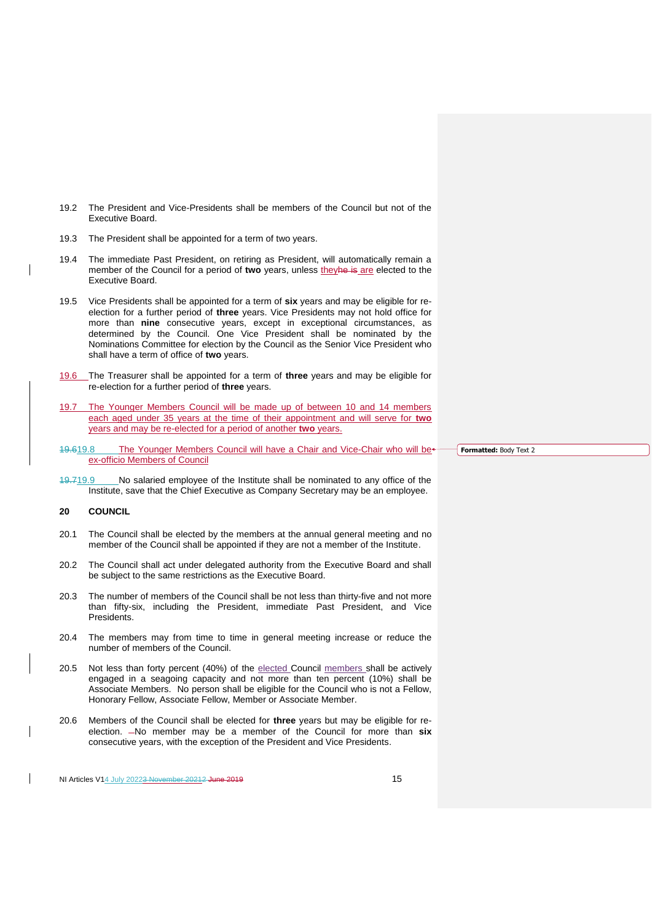- 19.2 The President and Vice-Presidents shall be members of the Council but not of the Executive Board.
- 19.3 The President shall be appointed for a term of two years.
- 19.4 The immediate Past President, on retiring as President, will automatically remain a member of the Council for a period of **two** years, unless theyhe is are elected to the Executive Board.
- 19.5 Vice Presidents shall be appointed for a term of **six** years and may be eligible for reelection for a further period of **three** years. Vice Presidents may not hold office for more than **nine** consecutive years, except in exceptional circumstances, as determined by the Council. One Vice President shall be nominated by the Nominations Committee for election by the Council as the Senior Vice President who shall have a term of office of **two** years.
- 19.6 The Treasurer shall be appointed for a term of **three** years and may be eligible for re-election for a further period of **three** years.
- 19.7 The Younger Members Council will be made up of between 10 and 14 members each aged under 35 years at the time of their appointment and will serve for **two**  years and may be re-elected for a period of another **two** years.
- 19.619.8 The Younger Members Council will have a Chair and Vice-Chair who will be<sup>\*</sup> ex-officio Members of Council
- 19.719.9 No salaried employee of the Institute shall be nominated to any office of the Institute, save that the Chief Executive as Company Secretary may be an employee.

# **20 COUNCIL**

- 20.1 The Council shall be elected by the members at the annual general meeting and no member of the Council shall be appointed if they are not a member of the Institute.
- 20.2 The Council shall act under delegated authority from the Executive Board and shall be subject to the same restrictions as the Executive Board.
- 20.3 The number of members of the Council shall be not less than thirty-five and not more than fifty-six, including the President, immediate Past President, and Vice Presidents.
- 20.4 The members may from time to time in general meeting increase or reduce the number of members of the Council.
- 20.5 Not less than forty percent (40%) of the elected Council members shall be actively engaged in a seagoing capacity and not more than ten percent (10%) shall be Associate Members. No person shall be eligible for the Council who is not a Fellow, Honorary Fellow, Associate Fellow, Member or Associate Member.
- 20.6 Members of the Council shall be elected for **three** years but may be eligible for reelection.  $-No$  member may be a member of the Council for more than six consecutive years, with the exception of the President and Vice Presidents.

NI Articles V14 July 20223 November 20212 June 2019

**Formatted:** Body Text 2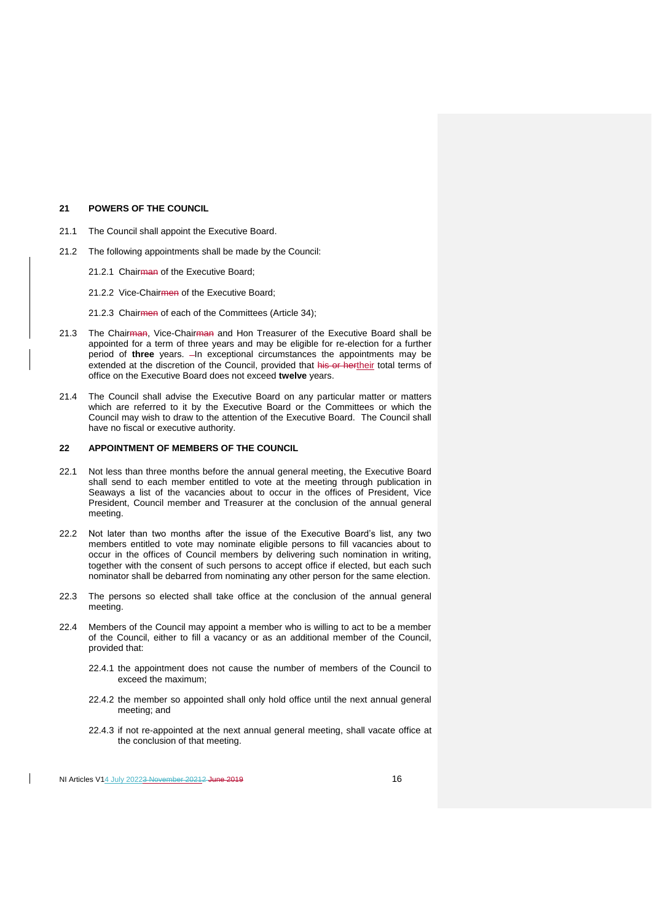#### **21 POWERS OF THE COUNCIL**

- 21.1 The Council shall appoint the Executive Board.
- 21.2 The following appointments shall be made by the Council:
	- 21.2.1 Chairman of the Executive Board:
	- 21.2.2 Vice-Chairmen of the Executive Board;
	- 21.2.3 Chairmen of each of the Committees (Article 34);
- 21.3 The Chairman, Vice-Chairman and Hon Treasurer of the Executive Board shall be appointed for a term of three years and may be eligible for re-election for a further period of three years.  $-$ In exceptional circumstances the appointments may be extended at the discretion of the Council, provided that his or hertheir total terms of office on the Executive Board does not exceed **twelve** years.
- 21.4 The Council shall advise the Executive Board on any particular matter or matters which are referred to it by the Executive Board or the Committees or which the Council may wish to draw to the attention of the Executive Board. The Council shall have no fiscal or executive authority.

#### **22 APPOINTMENT OF MEMBERS OF THE COUNCIL**

- 22.1 Not less than three months before the annual general meeting, the Executive Board shall send to each member entitled to vote at the meeting through publication in Seaways a list of the vacancies about to occur in the offices of President, Vice President, Council member and Treasurer at the conclusion of the annual general meeting.
- 22.2 Not later than two months after the issue of the Executive Board's list, any two members entitled to vote may nominate eligible persons to fill vacancies about to occur in the offices of Council members by delivering such nomination in writing, together with the consent of such persons to accept office if elected, but each such nominator shall be debarred from nominating any other person for the same election.
- 22.3 The persons so elected shall take office at the conclusion of the annual general meeting.
- 22.4 Members of the Council may appoint a member who is willing to act to be a member of the Council, either to fill a vacancy or as an additional member of the Council, provided that:
	- 22.4.1 the appointment does not cause the number of members of the Council to exceed the maximum;
	- 22.4.2 the member so appointed shall only hold office until the next annual general meeting; and
	- 22.4.3 if not re-appointed at the next annual general meeting, shall vacate office at the conclusion of that meeting.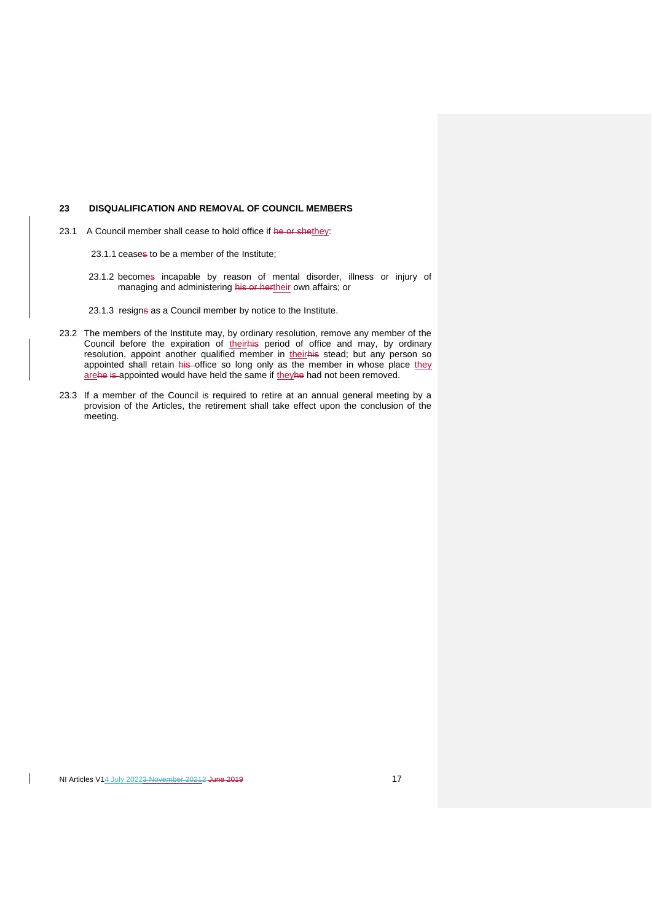# **23 DISQUALIFICATION AND REMOVAL OF COUNCIL MEMBERS**

23.1 A Council member shall cease to hold office if he or shethey:

23.1.1 ceases to be a member of the Institute;

- 23.1.2 becomes incapable by reason of mental disorder, illness or injury of managing and administering his or hertheir own affairs; or
- 23.1.3 resigns as a Council member by notice to the Institute.
- 23.2 The members of the Institute may, by ordinary resolution, remove any member of the Council before the expiration of theirhis period of office and may, by ordinary resolution, appoint another qualified member in their his stead; but any person so appointed shall retain his office so long only as the member in whose place they arehe is appointed would have held the same if theyhe had not been removed.
- 23.3 If a member of the Council is required to retire at an annual general meeting by a provision of the Articles, the retirement shall take effect upon the conclusion of the meeting.

 $\mathsf{I}$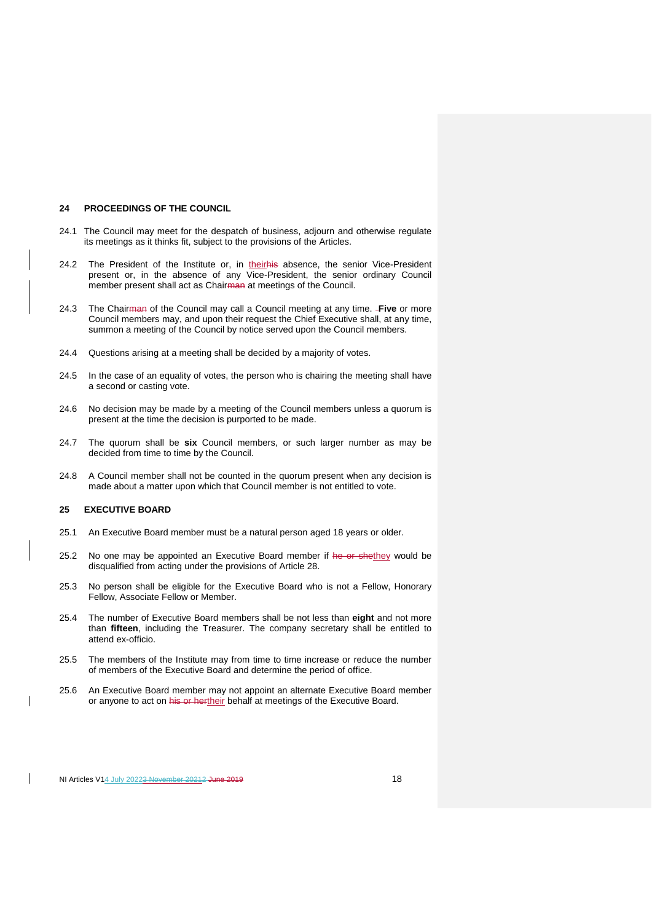#### **24 PROCEEDINGS OF THE COUNCIL**

- 24.1 The Council may meet for the despatch of business, adjourn and otherwise regulate its meetings as it thinks fit, subject to the provisions of the Articles.
- 24.2 The President of the Institute or, in theirhis absence, the senior Vice-President present or, in the absence of any Vice-President, the senior ordinary Council member present shall act as Chairman at meetings of the Council.
- 24.3 The Chairman of the Council may call a Council meeting at any time. **Five** or more Council members may, and upon their request the Chief Executive shall, at any time, summon a meeting of the Council by notice served upon the Council members.
- 24.4 Questions arising at a meeting shall be decided by a majority of votes.
- 24.5 In the case of an equality of votes, the person who is chairing the meeting shall have a second or casting vote.
- 24.6 No decision may be made by a meeting of the Council members unless a quorum is present at the time the decision is purported to be made.
- 24.7 The quorum shall be **six** Council members, or such larger number as may be decided from time to time by the Council.
- 24.8 A Council member shall not be counted in the quorum present when any decision is made about a matter upon which that Council member is not entitled to vote.

# **25 EXECUTIVE BOARD**

- 25.1 An Executive Board member must be a natural person aged 18 years or older.
- 25.2 No one may be appointed an Executive Board member if he or shethey would be disqualified from acting under the provisions of Article 28.
- 25.3 No person shall be eligible for the Executive Board who is not a Fellow, Honorary Fellow, Associate Fellow or Member.
- 25.4 The number of Executive Board members shall be not less than **eight** and not more than **fifteen**, including the Treasurer. The company secretary shall be entitled to attend ex-officio.
- 25.5 The members of the Institute may from time to time increase or reduce the number of members of the Executive Board and determine the period of office.
- 25.6 An Executive Board member may not appoint an alternate Executive Board member or anyone to act on his or hertheir behalf at meetings of the Executive Board.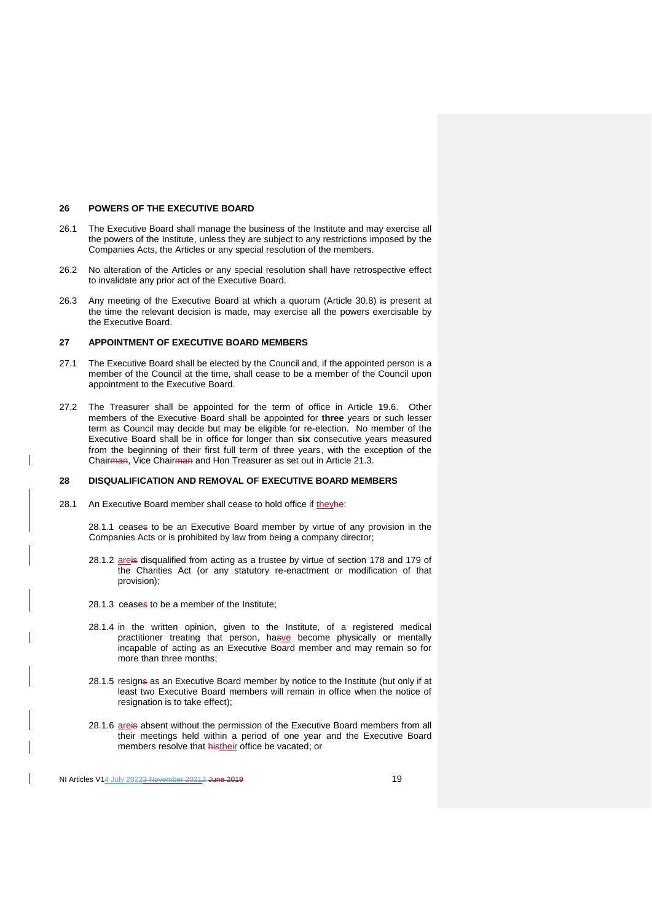#### **26 POWERS OF THE EXECUTIVE BOARD**

- 26.1 The Executive Board shall manage the business of the Institute and may exercise all the powers of the Institute, unless they are subject to any restrictions imposed by the Companies Acts, the Articles or any special resolution of the members.
- 26.2 No alteration of the Articles or any special resolution shall have retrospective effect to invalidate any prior act of the Executive Board.
- 26.3 Any meeting of the Executive Board at which a quorum (Article 30.8) is present at the time the relevant decision is made, may exercise all the powers exercisable by the Executive Board.

# **27 APPOINTMENT OF EXECUTIVE BOARD MEMBERS**

- 27.1 The Executive Board shall be elected by the Council and, if the appointed person is a member of the Council at the time, shall cease to be a member of the Council upon appointment to the Executive Board.
- 27.2 The Treasurer shall be appointed for the term of office in Article 19.6. Other members of the Executive Board shall be appointed for **three** years or such lesser term as Council may decide but may be eligible for re-election. No member of the Executive Board shall be in office for longer than **six** consecutive years measured from the beginning of their first full term of three years, with the exception of the Chairman, Vice Chairman and Hon Treasurer as set out in Article 21.3.

#### **28 DISQUALIFICATION AND REMOVAL OF EXECUTIVE BOARD MEMBERS**

28.1 An Executive Board member shall cease to hold office if theyhe:

28.1.1 ceases to be an Executive Board member by virtue of any provision in the Companies Acts or is prohibited by law from being a company director;

- 28.1.2 areis disqualified from acting as a trustee by virtue of section 178 and 179 of the Charities Act (or any statutory re-enactment or modification of that provision);
- 28.1.3 ceases to be a member of the Institute;
- 28.1.4 in the written opinion, given to the Institute, of a registered medical practitioner treating that person, hasve become physically or mentally incapable of acting as an Executive Board member and may remain so for more than three months;
- 28.1.5 resigne as an Executive Board member by notice to the Institute (but only if at least two Executive Board members will remain in office when the notice of resignation is to take effect):
- 28.1.6 areis absent without the permission of the Executive Board members from all their meetings held within a period of one year and the Executive Board members resolve that histheir office be vacated; or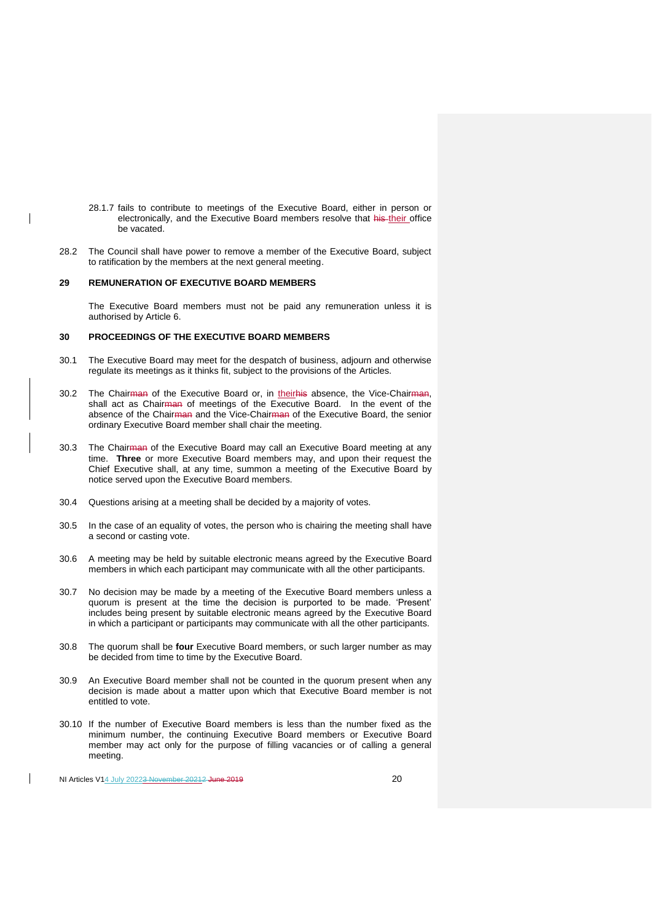- 28.1.7 fails to contribute to meetings of the Executive Board, either in person or electronically, and the Executive Board members resolve that his their office be vacated.
- 28.2 The Council shall have power to remove a member of the Executive Board, subject to ratification by the members at the next general meeting.

## **29 REMUNERATION OF EXECUTIVE BOARD MEMBERS**

The Executive Board members must not be paid any remuneration unless it is authorised by Article 6.

#### **30 PROCEEDINGS OF THE EXECUTIVE BOARD MEMBERS**

- 30.1 The Executive Board may meet for the despatch of business, adjourn and otherwise regulate its meetings as it thinks fit, subject to the provisions of the Articles.
- 30.2 The Chairman of the Executive Board or, in theirhis absence, the Vice-Chairman, shall act as Chairman of meetings of the Executive Board. In the event of the absence of the Chairman and the Vice-Chairman of the Executive Board, the senior ordinary Executive Board member shall chair the meeting.
- 30.3 The Chairman of the Executive Board may call an Executive Board meeting at any time. **Three** or more Executive Board members may, and upon their request the Chief Executive shall, at any time, summon a meeting of the Executive Board by notice served upon the Executive Board members.
- 30.4 Questions arising at a meeting shall be decided by a majority of votes.
- 30.5 In the case of an equality of votes, the person who is chairing the meeting shall have a second or casting vote.
- 30.6 A meeting may be held by suitable electronic means agreed by the Executive Board members in which each participant may communicate with all the other participants.
- 30.7 No decision may be made by a meeting of the Executive Board members unless a quorum is present at the time the decision is purported to be made. 'Present' includes being present by suitable electronic means agreed by the Executive Board in which a participant or participants may communicate with all the other participants.
- 30.8 The quorum shall be **four** Executive Board members, or such larger number as may be decided from time to time by the Executive Board.
- 30.9 An Executive Board member shall not be counted in the quorum present when any decision is made about a matter upon which that Executive Board member is not entitled to vote.
- 30.10 If the number of Executive Board members is less than the number fixed as the minimum number, the continuing Executive Board members or Executive Board member may act only for the purpose of filling vacancies or of calling a general meeting.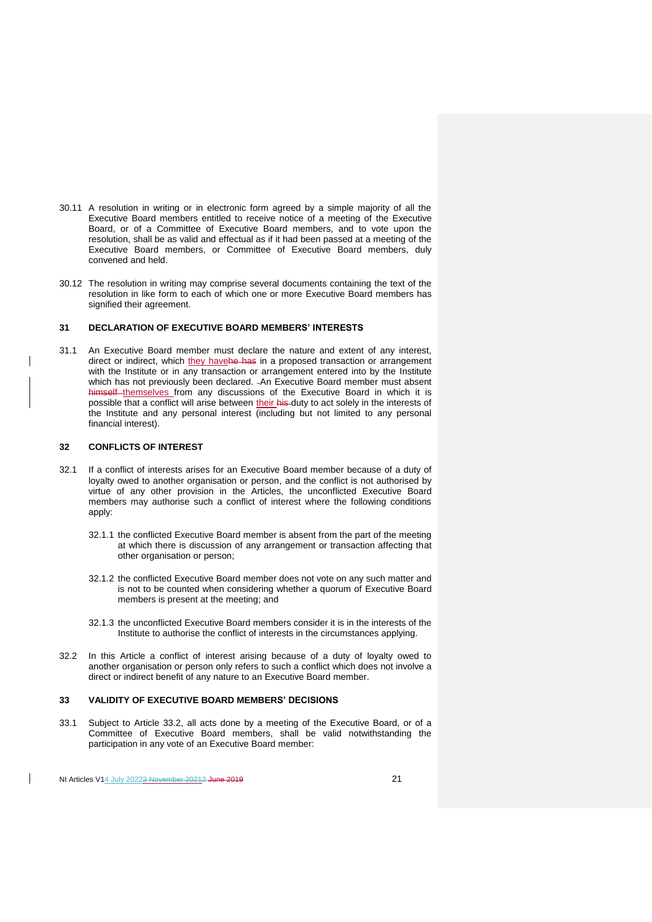- 30.11 A resolution in writing or in electronic form agreed by a simple majority of all the Executive Board members entitled to receive notice of a meeting of the Executive Board, or of a Committee of Executive Board members, and to vote upon the resolution, shall be as valid and effectual as if it had been passed at a meeting of the Executive Board members, or Committee of Executive Board members, duly convened and held.
- 30.12 The resolution in writing may comprise several documents containing the text of the resolution in like form to each of which one or more Executive Board members has signified their agreement.

## **31 DECLARATION OF EXECUTIVE BOARD MEMBERS' INTERESTS**

31.1 An Executive Board member must declare the nature and extent of any interest, direct or indirect, which they havehe has in a proposed transaction or arrangement with the Institute or in any transaction or arrangement entered into by the Institute which has not previously been declared. - An Executive Board member must absent himself themselves from any discussions of the Executive Board in which it is possible that a conflict will arise between their his duty to act solely in the interests of the Institute and any personal interest (including but not limited to any personal financial interest).

# **32 CONFLICTS OF INTEREST**

- 32.1 If a conflict of interests arises for an Executive Board member because of a duty of loyalty owed to another organisation or person, and the conflict is not authorised by virtue of any other provision in the Articles, the unconflicted Executive Board members may authorise such a conflict of interest where the following conditions apply:
	- 32.1.1 the conflicted Executive Board member is absent from the part of the meeting at which there is discussion of any arrangement or transaction affecting that other organisation or person;
	- 32.1.2 the conflicted Executive Board member does not vote on any such matter and is not to be counted when considering whether a quorum of Executive Board members is present at the meeting; and
	- 32.1.3 the unconflicted Executive Board members consider it is in the interests of the Institute to authorise the conflict of interests in the circumstances applying.
- 32.2 In this Article a conflict of interest arising because of a duty of loyalty owed to another organisation or person only refers to such a conflict which does not involve a direct or indirect benefit of any nature to an Executive Board member.

## **33 VALIDITY OF EXECUTIVE BOARD MEMBERS' DECISIONS**

33.1 Subject to Article 33.2, all acts done by a meeting of the Executive Board, or of a Committee of Executive Board members, shall be valid notwithstanding the participation in any vote of an Executive Board member: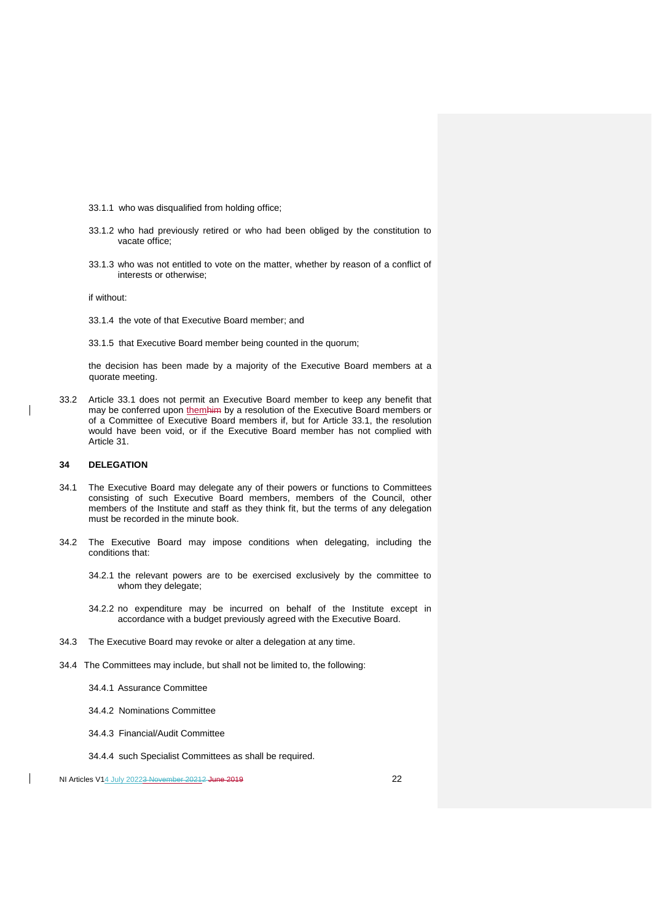- 33.1.1 who was disqualified from holding office;
- 33.1.2 who had previously retired or who had been obliged by the constitution to vacate office;
- 33.1.3 who was not entitled to vote on the matter, whether by reason of a conflict of interests or otherwise;

if without:

- 33.1.4 the vote of that Executive Board member; and
- 33.1.5 that Executive Board member being counted in the quorum;

the decision has been made by a majority of the Executive Board members at a quorate meeting.

33.2 Article 33.1 does not permit an Executive Board member to keep any benefit that may be conferred upon themhim by a resolution of the Executive Board members or of a Committee of Executive Board members if, but for Article 33.1, the resolution would have been void, or if the Executive Board member has not complied with Article 31.

# **34 DELEGATION**

 $\overline{\phantom{a}}$ 

- 34.1 The Executive Board may delegate any of their powers or functions to Committees consisting of such Executive Board members, members of the Council, other members of the Institute and staff as they think fit, but the terms of any delegation must be recorded in the minute book.
- 34.2 The Executive Board may impose conditions when delegating, including the conditions that:
	- 34.2.1 the relevant powers are to be exercised exclusively by the committee to whom they delegate;
	- 34.2.2 no expenditure may be incurred on behalf of the Institute except in accordance with a budget previously agreed with the Executive Board.
- 34.3 The Executive Board may revoke or alter a delegation at any time.
- 34.4 The Committees may include, but shall not be limited to, the following:
	- 34.4.1 Assurance Committee
	- 34.4.2 Nominations Committee
	- 34.4.3 Financial/Audit Committee
	- 34.4.4 such Specialist Committees as shall be required.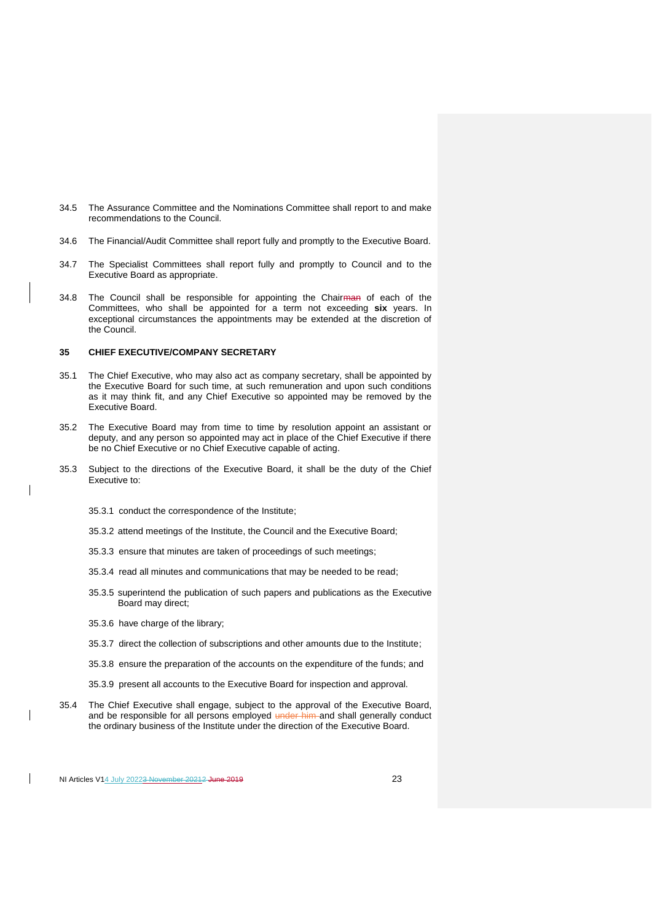- 34.5 The Assurance Committee and the Nominations Committee shall report to and make recommendations to the Council.
- 34.6 The Financial/Audit Committee shall report fully and promptly to the Executive Board.
- 34.7 The Specialist Committees shall report fully and promptly to Council and to the Executive Board as appropriate.
- 34.8 The Council shall be responsible for appointing the Chairman of each of the Committees, who shall be appointed for a term not exceeding **six** years. In exceptional circumstances the appointments may be extended at the discretion of the Council.

# **35 CHIEF EXECUTIVE/COMPANY SECRETARY**

- 35.1 The Chief Executive, who may also act as company secretary, shall be appointed by the Executive Board for such time, at such remuneration and upon such conditions as it may think fit, and any Chief Executive so appointed may be removed by the Executive Board.
- 35.2 The Executive Board may from time to time by resolution appoint an assistant or deputy, and any person so appointed may act in place of the Chief Executive if there be no Chief Executive or no Chief Executive capable of acting.
- 35.3 Subject to the directions of the Executive Board, it shall be the duty of the Chief Executive to:
	- 35.3.1 conduct the correspondence of the Institute;
	- 35.3.2 attend meetings of the Institute, the Council and the Executive Board;
	- 35.3.3 ensure that minutes are taken of proceedings of such meetings;
	- 35.3.4 read all minutes and communications that may be needed to be read;
	- 35.3.5 superintend the publication of such papers and publications as the Executive Board may direct;
	- 35.3.6 have charge of the library;
	- 35.3.7 direct the collection of subscriptions and other amounts due to the Institute;
	- 35.3.8 ensure the preparation of the accounts on the expenditure of the funds; and
	- 35.3.9 present all accounts to the Executive Board for inspection and approval.
- 35.4 The Chief Executive shall engage, subject to the approval of the Executive Board, and be responsible for all persons employed under him and shall generally conduct the ordinary business of the Institute under the direction of the Executive Board.

NI Articles V14 July 20223 November 20212 June 2019 23

 $\overline{\phantom{a}}$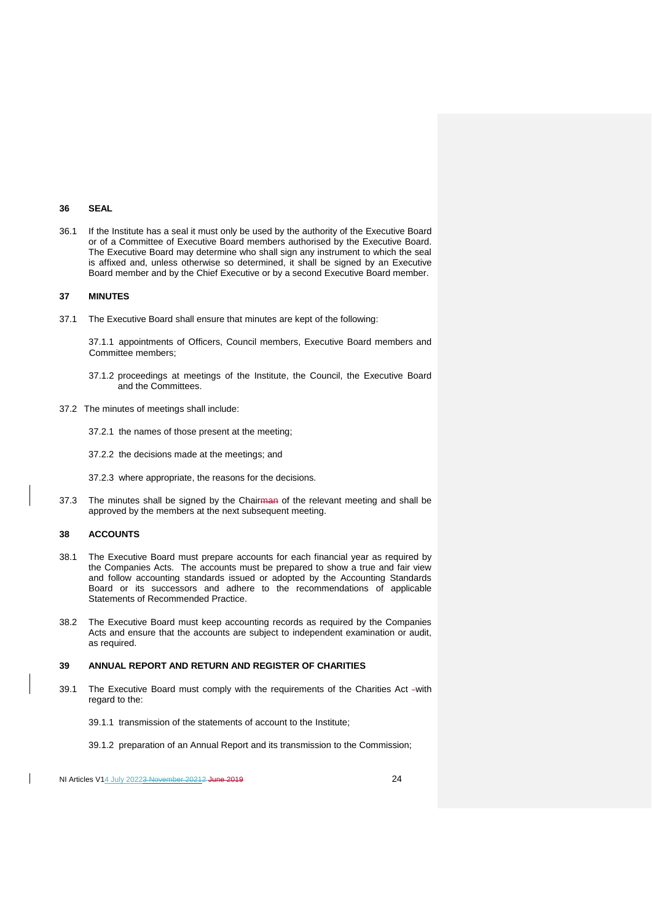## **36 SEAL**

36.1 If the Institute has a seal it must only be used by the authority of the Executive Board or of a Committee of Executive Board members authorised by the Executive Board. The Executive Board may determine who shall sign any instrument to which the seal is affixed and, unless otherwise so determined, it shall be signed by an Executive Board member and by the Chief Executive or by a second Executive Board member.

## **37 MINUTES**

37.1 The Executive Board shall ensure that minutes are kept of the following:

37.1.1 appointments of Officers, Council members, Executive Board members and Committee members;

- 37.1.2 proceedings at meetings of the Institute, the Council, the Executive Board and the Committees.
- 37.2 The minutes of meetings shall include:
	- 37.2.1 the names of those present at the meeting;
	- 37.2.2 the decisions made at the meetings; and
	- 37.2.3 where appropriate, the reasons for the decisions.
- 37.3 The minutes shall be signed by the Chairman of the relevant meeting and shall be approved by the members at the next subsequent meeting.

#### **38 ACCOUNTS**

 $\overline{\phantom{a}}$ 

- 38.1 The Executive Board must prepare accounts for each financial year as required by the Companies Acts. The accounts must be prepared to show a true and fair view and follow accounting standards issued or adopted by the Accounting Standards Board or its successors and adhere to the recommendations of applicable Statements of Recommended Practice.
- 38.2 The Executive Board must keep accounting records as required by the Companies Acts and ensure that the accounts are subject to independent examination or audit, as required.

## **39 ANNUAL REPORT AND RETURN AND REGISTER OF CHARITIES**

- 39.1 The Executive Board must comply with the requirements of the Charities Act -with regard to the:
	- 39.1.1 transmission of the statements of account to the Institute;
	- 39.1.2 preparation of an Annual Report and its transmission to the Commission;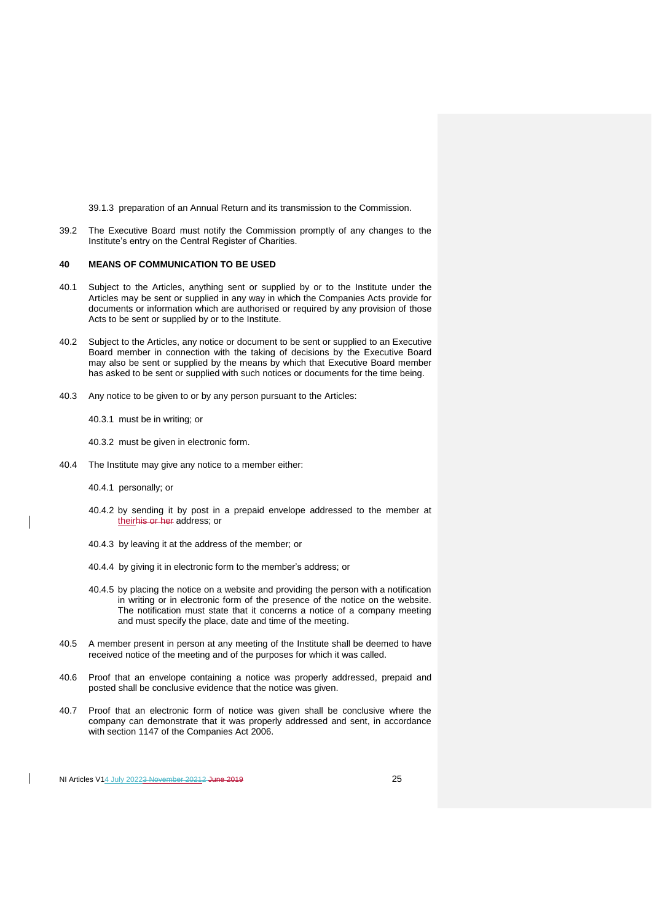39.1.3 preparation of an Annual Return and its transmission to the Commission.

39.2 The Executive Board must notify the Commission promptly of any changes to the Institute's entry on the Central Register of Charities.

#### **40 MEANS OF COMMUNICATION TO BE USED**

- 40.1 Subject to the Articles, anything sent or supplied by or to the Institute under the Articles may be sent or supplied in any way in which the Companies Acts provide for documents or information which are authorised or required by any provision of those Acts to be sent or supplied by or to the Institute.
- 40.2 Subject to the Articles, any notice or document to be sent or supplied to an Executive Board member in connection with the taking of decisions by the Executive Board may also be sent or supplied by the means by which that Executive Board member has asked to be sent or supplied with such notices or documents for the time being.
- 40.3 Any notice to be given to or by any person pursuant to the Articles:

40.3.1 must be in writing; or

40.3.2 must be given in electronic form.

- 40.4 The Institute may give any notice to a member either:
	- 40.4.1 personally; or
	- 40.4.2 by sending it by post in a prepaid envelope addressed to the member at theirhis or her address; or
	- 40.4.3 by leaving it at the address of the member; or
	- 40.4.4 by giving it in electronic form to the member's address; or
	- 40.4.5 by placing the notice on a website and providing the person with a notification in writing or in electronic form of the presence of the notice on the website. The notification must state that it concerns a notice of a company meeting and must specify the place, date and time of the meeting.
- 40.5 A member present in person at any meeting of the Institute shall be deemed to have received notice of the meeting and of the purposes for which it was called.
- 40.6 Proof that an envelope containing a notice was properly addressed, prepaid and posted shall be conclusive evidence that the notice was given.
- 40.7 Proof that an electronic form of notice was given shall be conclusive where the company can demonstrate that it was properly addressed and sent, in accordance with section 1147 of the Companies Act 2006.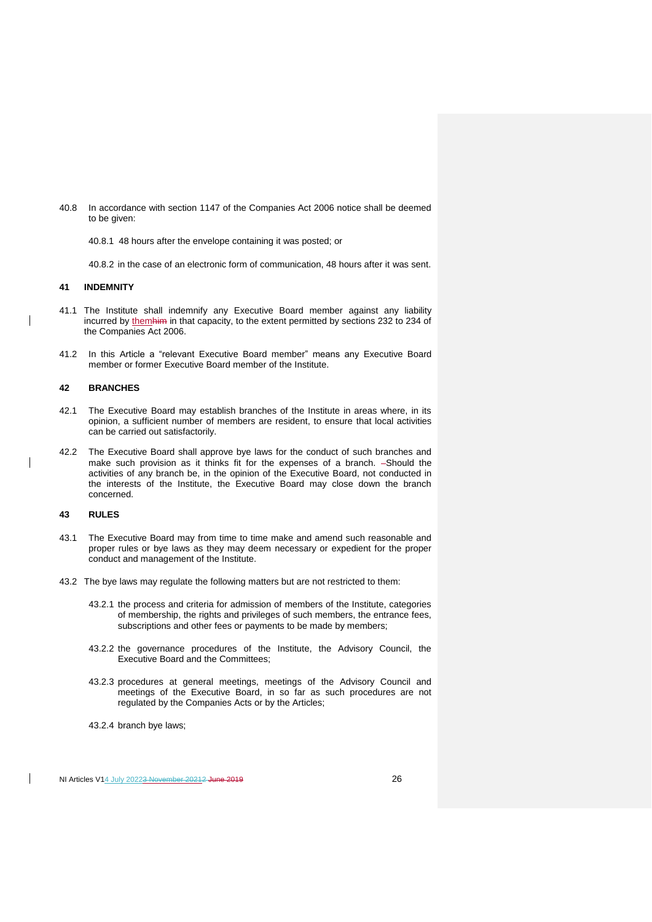- 40.8 In accordance with section 1147 of the Companies Act 2006 notice shall be deemed to be given:
	- 40.8.1 48 hours after the envelope containing it was posted; or

40.8.2 in the case of an electronic form of communication, 48 hours after it was sent.

## **41 INDEMNITY**

 $\overline{\phantom{a}}$ 

 $\overline{\phantom{a}}$ 

- 41.1 The Institute shall indemnify any Executive Board member against any liability incurred by themhim in that capacity, to the extent permitted by sections 232 to 234 of the Companies Act 2006.
- 41.2 In this Article a "relevant Executive Board member" means any Executive Board member or former Executive Board member of the Institute.

## **42 BRANCHES**

- 42.1 The Executive Board may establish branches of the Institute in areas where, in its opinion, a sufficient number of members are resident, to ensure that local activities can be carried out satisfactorily.
- 42.2 The Executive Board shall approve bye laws for the conduct of such branches and make such provision as it thinks fit for the expenses of a branch. -Should the activities of any branch be, in the opinion of the Executive Board, not conducted in the interests of the Institute, the Executive Board may close down the branch concerned.

## **43 RULES**

- 43.1 The Executive Board may from time to time make and amend such reasonable and proper rules or bye laws as they may deem necessary or expedient for the proper conduct and management of the Institute.
- 43.2 The bye laws may regulate the following matters but are not restricted to them:
	- 43.2.1 the process and criteria for admission of members of the Institute, categories of membership, the rights and privileges of such members, the entrance fees, subscriptions and other fees or payments to be made by members;
	- 43.2.2 the governance procedures of the Institute, the Advisory Council, the Executive Board and the Committees;
	- 43.2.3 procedures at general meetings, meetings of the Advisory Council and meetings of the Executive Board, in so far as such procedures are not regulated by the Companies Acts or by the Articles;
	- 43.2.4 branch bye laws;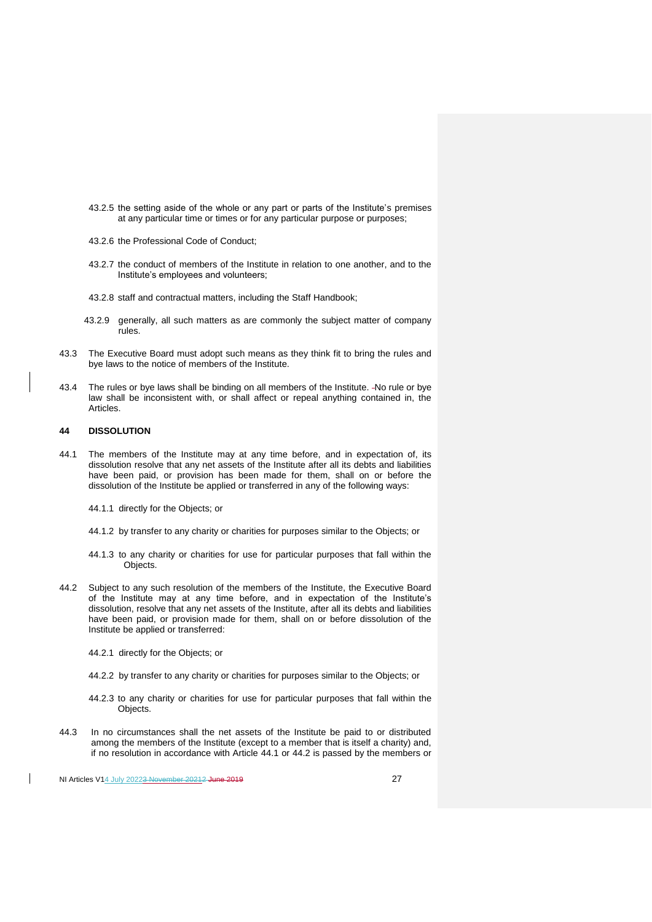- 43.2.5 the setting aside of the whole or any part or parts of the Institute's premises at any particular time or times or for any particular purpose or purposes;
- 43.2.6 the Professional Code of Conduct;
- 43.2.7 the conduct of members of the Institute in relation to one another, and to the Institute's employees and volunteers;
- 43.2.8 staff and contractual matters, including the Staff Handbook;
- 43.2.9 generally, all such matters as are commonly the subject matter of company rules.
- 43.3 The Executive Board must adopt such means as they think fit to bring the rules and bye laws to the notice of members of the Institute.
- 43.4 The rules or bye laws shall be binding on all members of the Institute. No rule or bye law shall be inconsistent with, or shall affect or repeal anything contained in, the Articles.

# **44 DISSOLUTION**

- 44.1 The members of the Institute may at any time before, and in expectation of, its dissolution resolve that any net assets of the Institute after all its debts and liabilities have been paid, or provision has been made for them, shall on or before the dissolution of the Institute be applied or transferred in any of the following ways:
	- 44.1.1 directly for the Objects; or
	- 44.1.2 by transfer to any charity or charities for purposes similar to the Objects; or
	- 44.1.3 to any charity or charities for use for particular purposes that fall within the Objects.
- 44.2 Subject to any such resolution of the members of the Institute, the Executive Board of the Institute may at any time before, and in expectation of the Institute's dissolution, resolve that any net assets of the Institute, after all its debts and liabilities have been paid, or provision made for them, shall on or before dissolution of the Institute be applied or transferred:
	- 44.2.1 directly for the Objects; or
	- 44.2.2 by transfer to any charity or charities for purposes similar to the Objects; or
	- 44.2.3 to any charity or charities for use for particular purposes that fall within the Objects.
- 44.3 In no circumstances shall the net assets of the Institute be paid to or distributed among the members of the Institute (except to a member that is itself a charity) and, if no resolution in accordance with Article 44.1 or 44.2 is passed by the members or